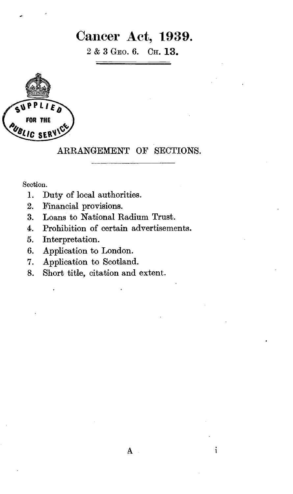## Cancer Act, 1939.

2 & 3 GEO. 6. OH. 13.



## ARRANGEMENT OF SECTIONS.

Section.

- 1. Duty of local authorities.
- 2. Financial provisions.
- 3. Loans to National Radium Trust.
- 4. Prohibition of certain advertisements.
- 5. Interpretation.
- 6. Application to London.
- 7. Application to Scotland.
- 8. Short title, citation and extent.

i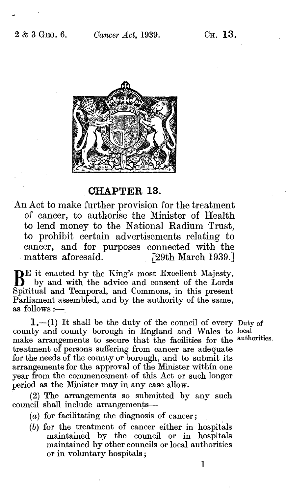

CHAPTER 13.

An Act to make further provision for the treatment of cancer, to authorise the Minister of Health to lend money to the National Radium Trust, to prohibit certain advertisements relating to cancer, and for purposes connected with the<br>matters aforesaid. [29th March 1939.] [29th March 1939.]

 $\mathbf{B}^{\text{E}}$  it enacted by the King's most Excellent Majesty, by and with the advice and consent of the Lords Spiritual and Temporal, and Commons, in this present  $Parliameter$  assembled, and by the authority of the same, as follows :—

1.-(1) It shall be the duty of the council of every Duty of county and county borough in England and Wales to local make arrangements to secure that the facilities for the authorities. make arrangements to secure that the facilities for the treatment of persons suffering from cancer are adequate for the needs of the county or borough, and to' submit its arrangements for the approval of the Minister within one year from the commencement of this Act or such longer period as the Minister may in any case allow.

(2) The arrangements so submitted by any such council shall include arrangements-

- $(a)$  for facilitating the diagnosis of cancer;
- (b) for the treatment of cancer either in hospitals maintained by the council or in hospitals maintained by other councils or local authorities or in voluntary hospitals ;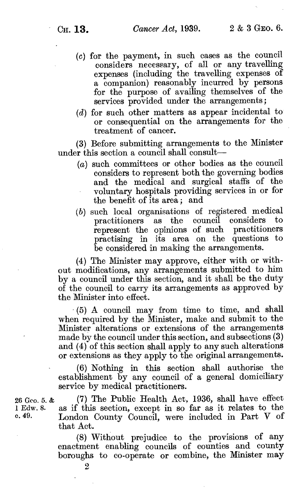- (c) for the payment, in such cases as the council considers necessary, of all or any travelling expenses (including the travelling expenses of a companion) reasonably incurred by persons for the purpose of availing themselves of the services provided under the arrangements;
- (d) for such other matters as appear incidental to or consequential on the arrangements for the treatment of cancer.

(3) Before submitting arrangements to the Minister under this section a council shall consult-

- $(a)$  such committees or other bodies as the council considers to represent both the governing bodies and the medical and surgical staffs of the voluntary hospitals providing services in or for the benefit of its area ; and
- (b) such local organisations of registered medical practitioners as the council considers represent the opinions of such practitioners practising in its area on the questions to be considered in making the arrangements.

(4) The Minister may approve, either with or without modifications, any arrangements submitted to him by a council under this section, and it shall be the duty of the council to carry its arrangements as approved by the Minister into effect.

(5) A council may from time to time, and shall when required by the Minister, make and submit to the Minister alterations or extensions of the arrangements made by the council under this section, and subsections (3) and (4) of this section shall apply to any such alterations or extensions as they apply to the original arrangements.

(6) Nothing in this section shall authorise the establishment by any council of a general domiciliary service by medical practitioners.

(7) The Public Health Act, 1936, shall have effect as if this section, except in so far as it relates to the London County Council, were included in Part V of that Act.

(8) Without prejudice to the provisions of any enactment enabling councils of counties and county boroughs to co-operate or combine, the Minister may

26 Geo. 5. & <sup>1</sup>Edw. 8. c. 49.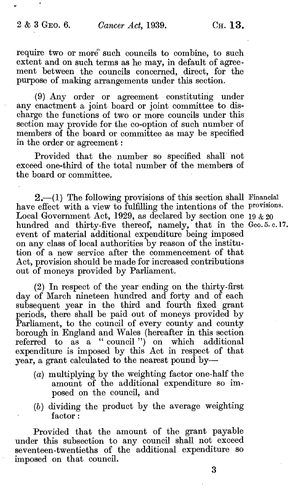require two or more" such councils to combine, to such extent and on such terms as he may, in default of agreement between the councils concerned, direct, for the purpose of making arrangements under this section.

(9) Any order or agreement constituting under any enactment a joint board or joint committee to discharge the functions of two or more councils under this section may provide for the co-option of such number of members of the board or committee as may be specified in the order or agreement :

Provided that the number so specified shall' not exceed one-third of the total number of the members of the board or committee.

 $2,-(1)$  The following provisions of this section shall Financial have effect with a view to fulfilling the intentions of the provisions. Local Government Act, 1929, as declared by section one 19  $&20$ hundred and thirty-five thereof, namely, that in the Geo. 5. c. 17. event of material additional expenditure being imposed on any class of local authorities by reason of the institution of a new service after the commencement of that Act, provision should be made for increased contributions out of moneys provided by Parliament.

(2) In respect of the year ending on the thirty-first day of March nineteen hundred and forty and of each subsequent year in the third and fourth fixed grant periods, there shall be paid out of moneys provided by Parliament, to the council of every county and county borough in England and Wales (hereafter in this section referred to as a " council ") on which additional expenditure is imposed by this Act in respect of that year, a grant calculated to the nearest pound by-

- (a) multiplying by the weighting factor one-half the amount of the additional expenditure so imposed on the council, and
- (b) dividing the product by the average weighting factor :

Provided that the amount of the grant payable under this subsection to any council shall not exceed seventeen-twentieths of the additional expenditure so imposed on that council.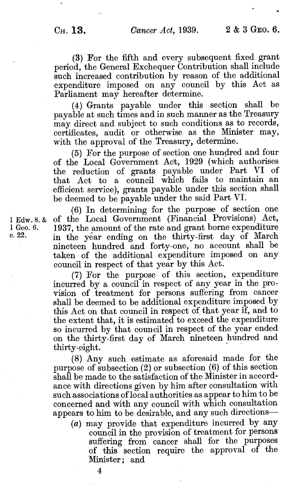(3) For the fifth and every subsequent fixed grant period, the General Exchequer Contribution shall include such increased contribution by reason of the additional expenditure imposed on any council by this Act as Parliament may hereafter determine.

(4) Grants payable under this section shall be payable at such times and in such manner as the Treasury may direct and subject to such conditions as to records, certificates, audit or otherwise as the Minister may, with the approval of the Treasury, determine.

(5) For the purpose of section one hundred and four of the Local Government Act, 1929 (which authorises the reduction of grants payable under Part VI of that Act to a council which fails to maintain an efficient service), grants payable under this section shall be deemed to be payable under the said Part VT.

(6) In determining for the purpose of section one of the Local Government (Financial Provisions) Act, 1937, the amount of the rate and grant borne expenditure in the year ending on the thirty-first day of March nineteen hundred and forty-one, no account shall be taken of the additional expenditure imposed on any council in respect of that year by this Act.

(7) For the purpose of this section, expenditure incurred by a council in respect of any year in the provision of treatment for persons suffering from cancer shall be deemed to be additional expenditure imposed by this Act on that council in respect of that year if, and to the extent that, it is estimated to exceed the expenditure so incurred by that council in respect of the year ended on the thirty-first day of March nineteen hundred and thirty-eight.

(8) Any such estimate as aforesaid made for the purpose of subsection (2) or subsection (6) of this section shall be made to the satisfaction of the Minister in accordance with directions given by him after consultation with such associations of local authorities as appear to him to be concerned and with any council with which consultation appears to him to be desirable, and any such directions-

(a) may provide that expenditure incurred by any council in the provision of treatment for persons suffering from cancer shall for the purposes of this section require the approval of the Minister: and

4

<sup>1</sup>Edw. 8. & I Geo. 6. c. 22.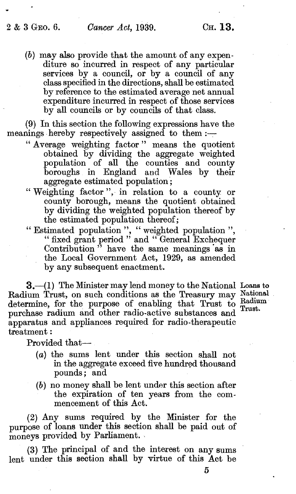$(b)$  may also provide that the amount of any expenditure so incurred in respect of any particular services by a council, or by a council of any class specified in the directions, shall be estimated by reference to the estimated average net annual expenditure incurred in respect of those services by all councils or by councils of that class.

(9) In this section the following expressions have the meanings hereby respectively assigned to them  $:$ 

- Average weighting factor " means the quotient obtained by dividing the aggregate weighted population of all the counties and county boroughs in England and Wales by their aggregate estimated population ;
- "Weighting factor", in relation to a county or county borough, means the quotient obtained by dividing the weighted population thereof by the estimated population thereof ;
- " Estimated population ", " weighted population ", " fixed grant period " and " General Exchequer Contribution<sup>7</sup> have the same meanings as in the Local Government Act, 1929, as amended by any subsequent enactment.

3. (1) The Minister may lend money to the National Loans to Radium Trust, on such conditions as the Treasury may Nation determine, for the purpose of enabling that Trust to  $_{\text{Tr}_{\text{must}}}^{\text{Radiu}}$ purchase radium and other radio-active substances and apparatus and appliances required for radio-therapeutic treatment :

National  ${\rm Radium}$ Trust.

Provided that-

- (a) the sums lent under this section shall not in the aggregate exceed five hundred thousand pounds; and
- (b) no money shall be lent under this section after the expiration of ten years from the commencement of this Act.

(2) Any sums required by the Minister for the purpose of loans under this section shall be paid out of moneys provided by Parliament.

(3) The principal of and the interest on any sums lent under this section shall by virtue of this Act be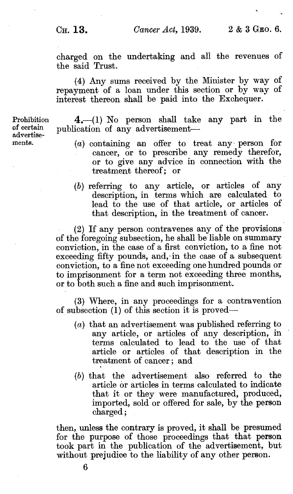charged on the undertaking and all the revenues of the said Trust.

(4) Any sums received by the Minister by way of repayment of a loan under this section or by way of interest thereon shall be paid into the Exchequer.

Prohibition of certain advertisements.

4.-(1) No person shall take any part in the publication of any advertisement-

- (a) containing an offer to treat any- person for cancer, or to prescribe any remedy therefor, or to give any advice in connection with the treatment thereof; or
- (b) referring to any article, or articles of any description, in terms which are calculated to lead to the use of that article, or articles of that description, in the treatment of cancer.

(2) If any person contravenes any of the provisions of the foregoing subsection, he shall be liable on summary conviction, in the case of a first conviction, to a fine not exceeding fifty pounds, and, in the case of a subsequent conviction, to a fine not exceeding one hundred pounds or to imprisonment for a term not exceeding three months, or to both such a fine and such imprisonment.

(3) Where, in any proceedings for a contravention of subsection (1) of this section it is proved-

- (a) that an advertisement was published referring to any article, or articles of any description, in terms calculated to lead to the use of that article or articles of that description in the treatment of cancer ; and
- (b) that the advertisement also referred to the article or articles in terms calculated to indicate that it or they were manufactured, produced, imported, sold or offered for sale, by the person charged ;

then, unless the contrary is proved, it shall be presumed for the purpose of those proceedings that that person took part in the publication of the advertisement, but without prejudice to the liability of any other person.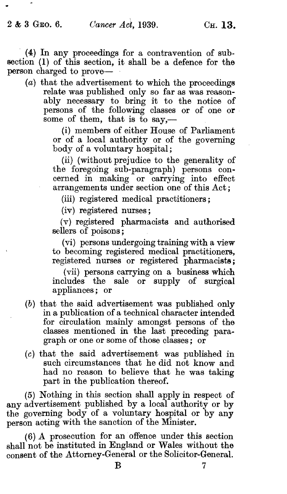(4) In any proceedings for a contravention of subsection (1) of this section, it shall be a defence for the person charged to prove-

(a) that the advertisement to which the proceedings relate was published only so far as was reasonably necessary to bring it to the notice of persons of the following classes or of one or some of them, that is to sav.—

> (i) members of either House of Parliament or of a local authority or of the governing body of a voluntary hospital;

> (ii) (without prejudice to the generality of the foregoing sub-paragraph) persons concerned in making or carrying into effect arrangements under section one of this Act ;

(iii) registered medical practitioners;

(iv) registered nurses ;

(v) registered pharmacists and authorised sellers of poisons;

(vi) persons undergoing training with a view to becoming registered medical practitioners, registered nurses or registered pharmacists;

(vii) persons carrying on a business which includes the sale or supply of surgical appliances ; or

- (b) that the said advertisement was published only in a publication of a technical character intended for circulation mainly amongst persons of the classes mentioned in the last preceding para- graph or one or some of those classes ; or
- (c) that the said advertisement was published in such circumstances that he did not know and had no reason to believe that he was taking part in the publication thereof.

(5) Nothing in this section shall apply in respect of any advertisement published by a local authority or by the governing body of a voluntary hospital or by any person acting with the sanction of the Minister.

(6) A prosecution for an offence under this section shall not be instituted in England or Wales without the consent of the Attorney-General or the Solicitor-General.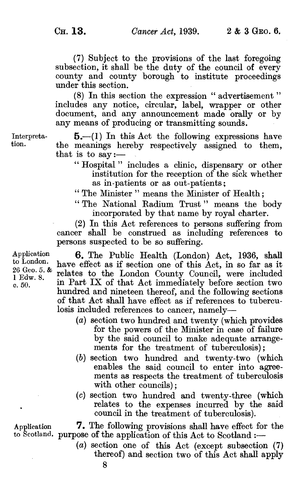(7) Subject to the provisions of the last foregoing subsection, it shall be the duty of the council of every county and county borough to institute proceedings under this section.

(8) In this section the expression " advertisement " includes any notice, circular, label, wrapper or other document, and any announcement made orally or by any means of producing or transmitting sounds.

Interpreta-  $5-(1)$  In this Act the following expressions have<br>tion. the meanings hereby respectively assigned to them, that is to say :-

- " Hospital " includes a clinic, dispensary or other institution for the reception of the sick whether as in-patients or as out-patients ;
- " The Minister " means the Minister of Health ;
- " The National Radium Trust " means the body incorporated by that name by royal charter.

(2) In this Act references to persons suffering from cancer shall be construed as including references to persons suspected to be so suffering.

6. The Public Health (London) Act, 1936, shall have effect as if section one of this Act, in so far as it relates to the London County Council, were included in Part IX of that Act immediately before section two hundred and nineteen thereof, and the following sections of that Act shall have effect as if references to tuberculosis included references to cancer, namely-

- (a) section two hundred and twenty (which provides for the powers of the Minister in case of failure by the said council to make adequate arrangements for the treatment of tuberculosis);
- (b) section two hundred and twenty-two (which enables the said council to enter into agreements as respects the treatment of tuberculosis with other councils);
- (c) section two hundred and twenty-three (which relates to the expenses incurred by the said council in the treatment of tuberculosis).

Application 7. The following provisions shall have effect for the to Scotland. purpose of the application of this Act to Scotland :-

> (a) section one of this Act (except subsection (7) thereof) and section two of this Act shall apply

Application to London. 26 Geo. 5. & I Edw. 8. c. 50.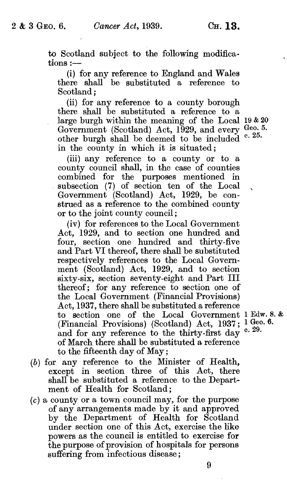to Scotland subject to the following modifications :-

(i) for any reference to England and Wales there shall be substituted a reference to Scotland ;

(ii) for any reference to a county borough there shall be substituted a reference to a large burgh within the meaning of the Local 19 & 20 Government (Scotland) Act,  $1929$ , and every  $\frac{\text{Geo. 5.}}{\text{O5}}$ other burgh shall be deemed to be included in the county in which it is situated: c. 25.

(iii) any reference to a county or to a county council shall, in the case of counties combined for the purposes mentioned in subsection (7) of section ten of the Local Government (Scotland) Act, 1929, be construed as a reference to the combined county or to the joint county council;

(iv) for references to the Local Government Act, 1929, and to section one hundred and four, section one hundred and thirty-five and Part VI thereof, there shall be substituted respectively references to the Local Government (Scotland) Act, 1929, and to section sixty-six, section seventy-eight and Part III thereof: for any reference to section one of the Local Government (Financial Provisions) Act, 1937, there shall be substituted a reference to section one of the Local Government 1 Edw. 8. & (Financial Provisions) (Scotland) Act,  $1937$ ;  $^{1}_{0}$  Geo. 6. and for any reference to the thirty-first day of March there shall be substituted a reference to the fifteenth day of May ;

- (b) for any reference to the Minister of Health, except in section three of this Act, there shall be substituted a reference to the Department of Health for Scotland ;
- $(c)$  a county or a town council may, for the purpose of any arrangements made by it and approved by the Department of Health for Scotland under section one of this Act, exercise the like powers as the council is entitled to exercise for the purpose of provision of hospitals for persons suffering from infectious disease;

c. 29.

9